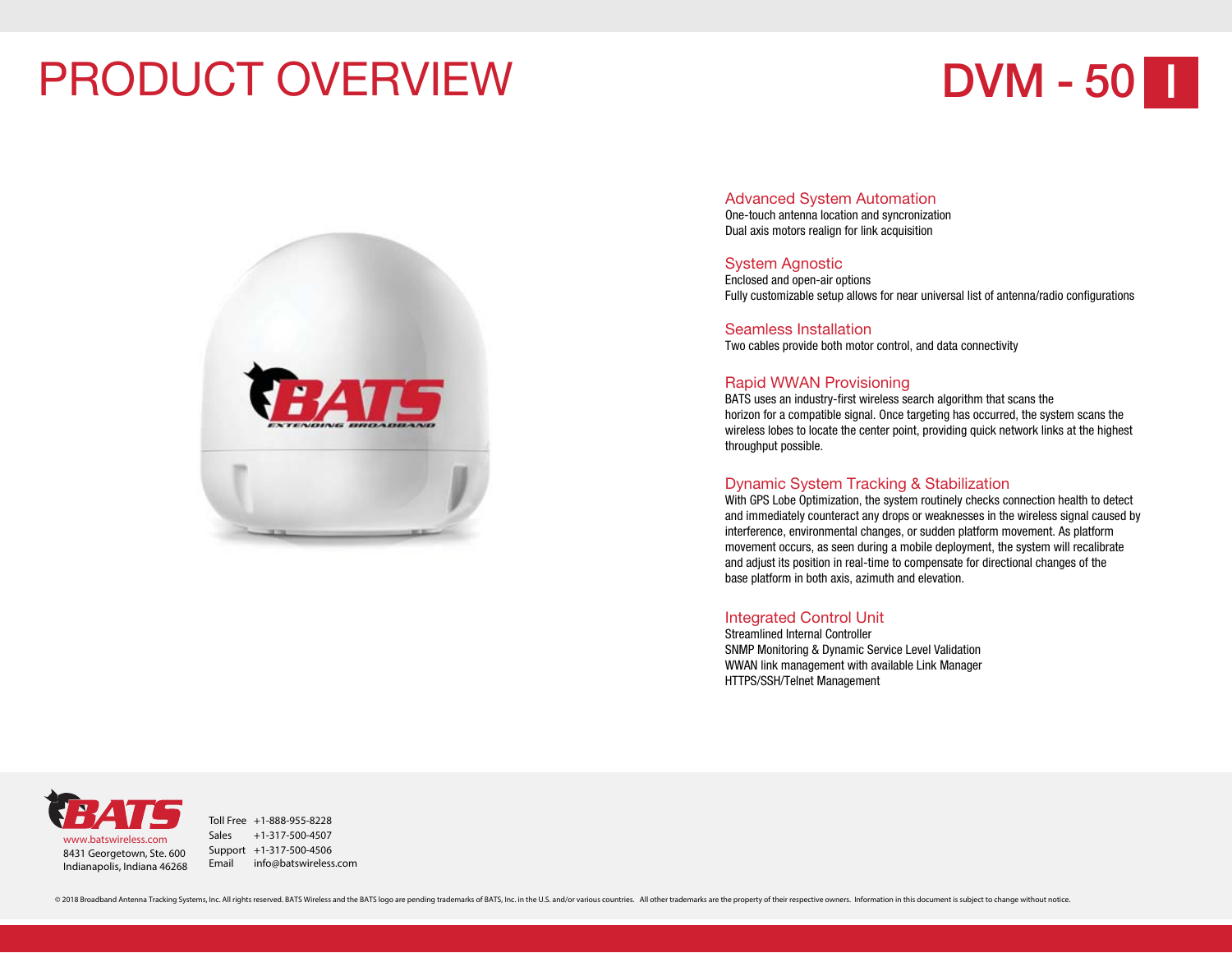### PRODUCT OVERVIEW

## **DVM - 50 I**



#### Advanced System Automation

One-touch antenna location and syncronization Dual axis motors realign for link acquisition

#### System Agnostic

Enclosed and open-air options Fully customizable setup allows for near universal list of antenna/radio configurations

Seamless InstallationTwo cables provide both motor control, and data connectivity

#### Rapid WWAN Provisioning

BATS uses an industry-first wireless search algorithm that scans the horizon for a compatible signal. Once targeting has occurred, the system scans the wireless lobes to locate the center point, providing quick network links at the highest throughput possible.

#### Dynamic System Tracking & Stabilization

With GPS Lobe Optimization, the system routinely checks connection health to detect and immediately counteract any drops or weaknesses in the wireless signal caused by interference, environmental changes, or sudden platform movement. As platform movement occurs, as seen during a mobile deployment, the system will recalibrate and adjust its position in real-time to compensate for directional changes of the base platform in both axis, azimuth and elevation.

#### Integrated Control Unit

Streamlined Internal ControllerSNMP Monitoring & Dynamic Service Level Validation WWAN link management with available Link Manager HTTPS/SSH/Telnet Management

8431 Georgetown, Ste. 600 Indianapolis, Indiana 46268 www.batswireless.com

Toll Free +1-888-955-8228Sales +1-317-500-4507Support +1-317-500-4506 Email info@batswireless.com

© 2018 Broadband Antenna Tracking Systems, Inc. All rights reserved. BATS Wireless and the BATS logo are pending trademarks of BATS, Inc. in the U.S. and/or various countries. All other trademarks are the property of their